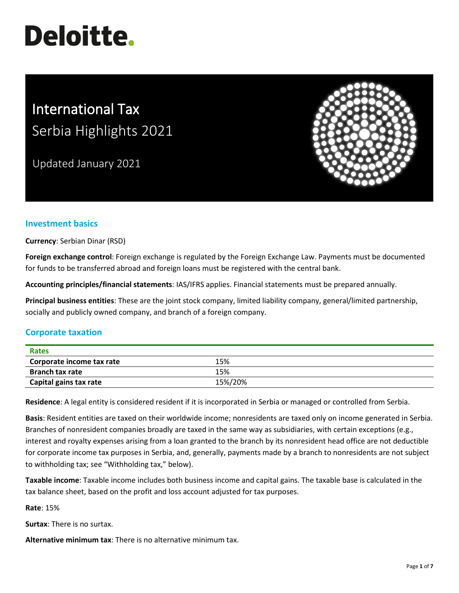# **Deloitte.**

# International Tax Serbia Highlights 2021

Updated January 2021



# **Investment basics**

**Currency**: Serbian Dinar (RSD)

**Foreign exchange control**: Foreign exchange is regulated by the Foreign Exchange Law. Payments must be documented for funds to be transferred abroad and foreign loans must be registered with the central bank.

**Accounting principles/financial statements**: IAS/IFRS applies. Financial statements must be prepared annually.

**Principal business entities**: These are the joint stock company, limited liability company, general/limited partnership, socially and publicly owned company, and branch of a foreign company.

# **Corporate taxation**

| Rates                     |         |
|---------------------------|---------|
| Corporate income tax rate | 15%     |
| <b>Branch tax rate</b>    | 15%     |
| Capital gains tax rate    | 15%/20% |

**Residence**: A legal entity is considered resident if it is incorporated in Serbia or managed or controlled from Serbia.

**Basis**: Resident entities are taxed on their worldwide income; nonresidents are taxed only on income generated in Serbia. Branches of nonresident companies broadly are taxed in the same way as subsidiaries, with certain exceptions (e.g., interest and royalty expenses arising from a loan granted to the branch by its nonresident head office are not deductible for corporate income tax purposes in Serbia, and, generally, payments made by a branch to nonresidents are not subject to withholding tax; see "Withholding tax," below).

**Taxable income**: Taxable income includes both business income and capital gains. The taxable base is calculated in the tax balance sheet, based on the profit and loss account adjusted for tax purposes.

**Rate**: 15%

**Surtax**: There is no surtax.

**Alternative minimum tax**: There is no alternative minimum tax.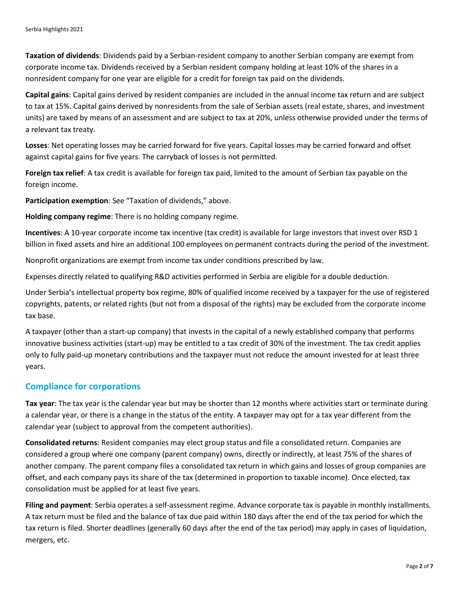**Taxation of dividends**: Dividends paid by a Serbian-resident company to another Serbian company are exempt from corporate income tax. Dividends received by a Serbian resident company holding at least 10% of the shares in a nonresident company for one year are eligible for a credit for foreign tax paid on the dividends.

**Capital gains**: Capital gains derived by resident companies are included in the annual income tax return and are subject to tax at 15%. Capital gains derived by nonresidents from the sale of Serbian assets (real estate, shares, and investment units) are taxed by means of an assessment and are subject to tax at 20%, unless otherwise provided under the terms of a relevant tax treaty.

**Losses**: Net operating losses may be carried forward for five years. Capital losses may be carried forward and offset against capital gains for five years. The carryback of losses is not permitted.

**Foreign tax relief**: A tax credit is available for foreign tax paid, limited to the amount of Serbian tax payable on the foreign income.

**Participation exemption**: See "Taxation of dividends," above.

**Holding company regime**: There is no holding company regime.

**Incentives**: A 10-year corporate income tax incentive (tax credit) is available for large investors that invest over RSD 1 billion in fixed assets and hire an additional 100 employees on permanent contracts during the period of the investment.

Nonprofit organizations are exempt from income tax under conditions prescribed by law.

Expenses directly related to qualifying R&D activities performed in Serbia are eligible for a double deduction.

Under Serbia's intellectual property box regime, 80% of qualified income received by a taxpayer for the use of registered copyrights, patents, or related rights (but not from a disposal of the rights) may be excluded from the corporate income tax base.

A taxpayer (other than a start-up company) that invests in the capital of a newly established company that performs innovative business activities (start-up) may be entitled to a tax credit of 30% of the investment. The tax credit applies only to fully paid-up monetary contributions and the taxpayer must not reduce the amount invested for at least three years.

#### **Compliance for corporations**

**Tax year**: The tax year is the calendar year but may be shorter than 12 months where activities start or terminate during a calendar year, or there is a change in the status of the entity. A taxpayer may opt for a tax year different from the calendar year (subject to approval from the competent authorities).

**Consolidated returns**: Resident companies may elect group status and file a consolidated return. Companies are considered a group where one company (parent company) owns, directly or indirectly, at least 75% of the shares of another company. The parent company files a consolidated tax return in which gains and losses of group companies are offset, and each company pays its share of the tax (determined in proportion to taxable income). Once elected, tax consolidation must be applied for at least five years.

**Filing and payment**: Serbia operates a self-assessment regime. Advance corporate tax is payable in monthly installments. A tax return must be filed and the balance of tax due paid within 180 days after the end of the tax period for which the tax return is filed. Shorter deadlines (generally 60 days after the end of the tax period) may apply in cases of liquidation, mergers, etc.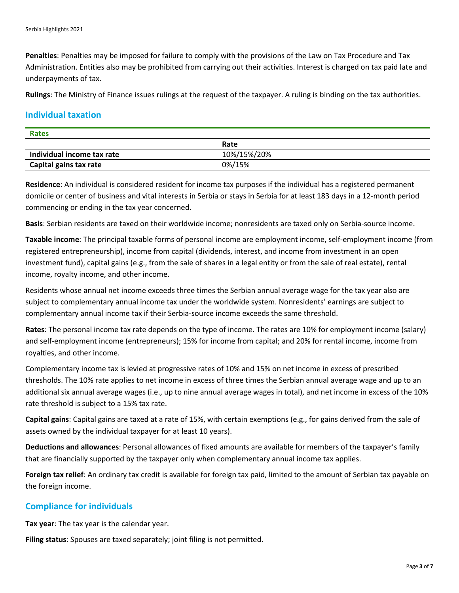**Penalties**: Penalties may be imposed for failure to comply with the provisions of the Law on Tax Procedure and Tax Administration. Entities also may be prohibited from carrying out their activities. Interest is charged on tax paid late and underpayments of tax.

**Rulings**: The Ministry of Finance issues rulings at the request of the taxpayer. A ruling is binding on the tax authorities.

#### **Individual taxation**

| <b>Rates</b>               |             |  |
|----------------------------|-------------|--|
|                            | Rate        |  |
| Individual income tax rate | 10%/15%/20% |  |
| Capital gains tax rate     | 0%/15%      |  |

**Residence**: An individual is considered resident for income tax purposes if the individual has a registered permanent domicile or center of business and vital interests in Serbia or stays in Serbia for at least 183 days in a 12-month period commencing or ending in the tax year concerned.

**Basis**: Serbian residents are taxed on their worldwide income; nonresidents are taxed only on Serbia-source income.

**Taxable income**: The principal taxable forms of personal income are employment income, self-employment income (from registered entrepreneurship), income from capital (dividends, interest, and income from investment in an open investment fund), capital gains (e.g., from the sale of shares in a legal entity or from the sale of real estate), rental income, royalty income, and other income.

Residents whose annual net income exceeds three times the Serbian annual average wage for the tax year also are subject to complementary annual income tax under the worldwide system. Nonresidents' earnings are subject to complementary annual income tax if their Serbia-source income exceeds the same threshold.

**Rates**: The personal income tax rate depends on the type of income. The rates are 10% for employment income (salary) and self-employment income (entrepreneurs); 15% for income from capital; and 20% for rental income, income from royalties, and other income.

Complementary income tax is levied at progressive rates of 10% and 15% on net income in excess of prescribed thresholds. The 10% rate applies to net income in excess of three times the Serbian annual average wage and up to an additional six annual average wages (i.e., up to nine annual average wages in total), and net income in excess of the 10% rate threshold is subject to a 15% tax rate.

**Capital gains**: Capital gains are taxed at a rate of 15%, with certain exemptions (e.g., for gains derived from the sale of assets owned by the individual taxpayer for at least 10 years).

**Deductions and allowances**: Personal allowances of fixed amounts are available for members of the taxpayer's family that are financially supported by the taxpayer only when complementary annual income tax applies.

**Foreign tax relief**: An ordinary tax credit is available for foreign tax paid, limited to the amount of Serbian tax payable on the foreign income.

#### **Compliance for individuals**

**Tax year**: The tax year is the calendar year.

**Filing status**: Spouses are taxed separately; joint filing is not permitted.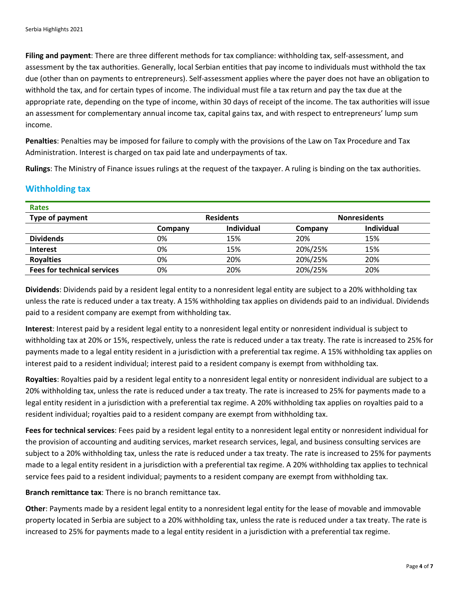**Filing and payment**: There are three different methods for tax compliance: withholding tax, self-assessment, and assessment by the tax authorities. Generally, local Serbian entities that pay income to individuals must withhold the tax due (other than on payments to entrepreneurs). Self-assessment applies where the payer does not have an obligation to withhold the tax, and for certain types of income. The individual must file a tax return and pay the tax due at the appropriate rate, depending on the type of income, within 30 days of receipt of the income. The tax authorities will issue an assessment for complementary annual income tax, capital gains tax, and with respect to entrepreneurs' lump sum income.

**Penalties**: Penalties may be imposed for failure to comply with the provisions of the Law on Tax Procedure and Tax Administration. Interest is charged on tax paid late and underpayments of tax.

**Rulings**: The Ministry of Finance issues rulings at the request of the taxpayer. A ruling is binding on the tax authorities.

# **Withholding tax**

| <b>Rates</b>                       |                  |                   |         |                     |
|------------------------------------|------------------|-------------------|---------|---------------------|
| Type of payment                    | <b>Residents</b> |                   |         | <b>Nonresidents</b> |
|                                    | Company          | <b>Individual</b> | Company | <b>Individual</b>   |
| <b>Dividends</b>                   | 0%               | 15%               | 20%     | 15%                 |
| <b>Interest</b>                    | 0%               | 15%               | 20%/25% | 15%                 |
| <b>Royalties</b>                   | 0%               | 20%               | 20%/25% | 20%                 |
| <b>Fees for technical services</b> | 0%               | 20%               | 20%/25% | 20%                 |

**Dividends**: Dividends paid by a resident legal entity to a nonresident legal entity are subject to a 20% withholding tax unless the rate is reduced under a tax treaty. A 15% withholding tax applies on dividends paid to an individual. Dividends paid to a resident company are exempt from withholding tax.

**Interest**: Interest paid by a resident legal entity to a nonresident legal entity or nonresident individual is subject to withholding tax at 20% or 15%, respectively, unless the rate is reduced under a tax treaty. The rate is increased to 25% for payments made to a legal entity resident in a jurisdiction with a preferential tax regime. A 15% withholding tax applies on interest paid to a resident individual; interest paid to a resident company is exempt from withholding tax.

**Royalties**: Royalties paid by a resident legal entity to a nonresident legal entity or nonresident individual are subject to a 20% withholding tax, unless the rate is reduced under a tax treaty. The rate is increased to 25% for payments made to a legal entity resident in a jurisdiction with a preferential tax regime. A 20% withholding tax applies on royalties paid to a resident individual; royalties paid to a resident company are exempt from withholding tax.

**Fees for technical services**: Fees paid by a resident legal entity to a nonresident legal entity or nonresident individual for the provision of accounting and auditing services, market research services, legal, and business consulting services are subject to a 20% withholding tax, unless the rate is reduced under a tax treaty. The rate is increased to 25% for payments made to a legal entity resident in a jurisdiction with a preferential tax regime. A 20% withholding tax applies to technical service fees paid to a resident individual; payments to a resident company are exempt from withholding tax.

**Branch remittance tax**: There is no branch remittance tax.

**Other**: Payments made by a resident legal entity to a nonresident legal entity for the lease of movable and immovable property located in Serbia are subject to a 20% withholding tax, unless the rate is reduced under a tax treaty. The rate is increased to 25% for payments made to a legal entity resident in a jurisdiction with a preferential tax regime.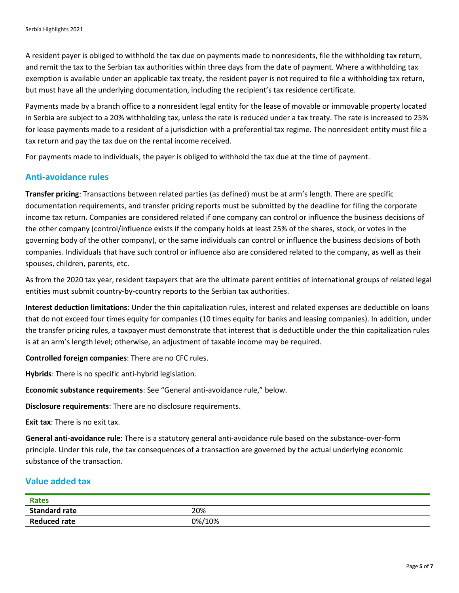A resident payer is obliged to withhold the tax due on payments made to nonresidents, file the withholding tax return, and remit the tax to the Serbian tax authorities within three days from the date of payment. Where a withholding tax exemption is available under an applicable tax treaty, the resident payer is not required to file a withholding tax return, but must have all the underlying documentation, including the recipient's tax residence certificate.

Payments made by a branch office to a nonresident legal entity for the lease of movable or immovable property located in Serbia are subject to a 20% withholding tax, unless the rate is reduced under a tax treaty. The rate is increased to 25% for lease payments made to a resident of a jurisdiction with a preferential tax regime. The nonresident entity must file a tax return and pay the tax due on the rental income received.

For payments made to individuals, the payer is obliged to withhold the tax due at the time of payment.

#### **Anti-avoidance rules**

**Transfer pricing**: Transactions between related parties (as defined) must be at arm's length. There are specific documentation requirements, and transfer pricing reports must be submitted by the deadline for filing the corporate income tax return. Companies are considered related if one company can control or influence the business decisions of the other company (control/influence exists if the company holds at least 25% of the shares, stock, or votes in the governing body of the other company), or the same individuals can control or influence the business decisions of both companies. Individuals that have such control or influence also are considered related to the company, as well as their spouses, children, parents, etc.

As from the 2020 tax year, resident taxpayers that are the ultimate parent entities of international groups of related legal entities must submit country-by-country reports to the Serbian tax authorities.

**Interest deduction limitations**: Under the thin capitalization rules, interest and related expenses are deductible on loans that do not exceed four times equity for companies (10 times equity for banks and leasing companies). In addition, under the transfer pricing rules, a taxpayer must demonstrate that interest that is deductible under the thin capitalization rules is at an arm's length level; otherwise, an adjustment of taxable income may be required.

**Controlled foreign companies**: There are no CFC rules.

**Hybrids**: There is no specific anti-hybrid legislation.

**Economic substance requirements**: See "General anti-avoidance rule," below.

**Disclosure requirements**: There are no disclosure requirements.

**Exit tax:** There is no exit tax.

**General anti-avoidance rule**: There is a statutory general anti-avoidance rule based on the substance-over-form principle. Under this rule, the tax consequences of a transaction are governed by the actual underlying economic substance of the transaction.

#### **Value added tax**

| <b>Rates</b>         |        |
|----------------------|--------|
| <b>Standard rate</b> | 20%    |
| <b>Reduced rate</b>  | 0%/10% |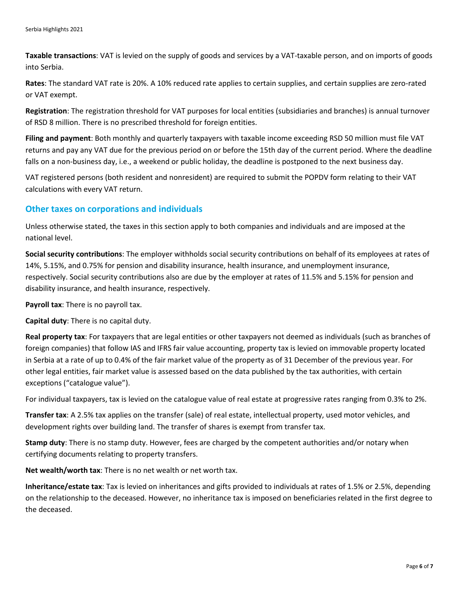**Taxable transactions**: VAT is levied on the supply of goods and services by a VAT-taxable person, and on imports of goods into Serbia.

**Rates**: The standard VAT rate is 20%. A 10% reduced rate applies to certain supplies, and certain supplies are zero-rated or VAT exempt.

**Registration**: The registration threshold for VAT purposes for local entities (subsidiaries and branches) is annual turnover of RSD 8 million. There is no prescribed threshold for foreign entities.

**Filing and payment**: Both monthly and quarterly taxpayers with taxable income exceeding RSD 50 million must file VAT returns and pay any VAT due for the previous period on or before the 15th day of the current period. Where the deadline falls on a non-business day, i.e., a weekend or public holiday, the deadline is postponed to the next business day.

VAT registered persons (both resident and nonresident) are required to submit the POPDV form relating to their VAT calculations with every VAT return.

#### **Other taxes on corporations and individuals**

Unless otherwise stated, the taxes in this section apply to both companies and individuals and are imposed at the national level.

**Social security contributions**: The employer withholds social security contributions on behalf of its employees at rates of 14%, 5.15%, and 0.75% for pension and disability insurance, health insurance, and unemployment insurance, respectively. Social security contributions also are due by the employer at rates of 11.5% and 5.15% for pension and disability insurance, and health insurance, respectively.

**Payroll tax**: There is no payroll tax.

**Capital duty**: There is no capital duty.

**Real property tax**: For taxpayers that are legal entities or other taxpayers not deemed as individuals (such as branches of foreign companies) that follow IAS and IFRS fair value accounting, property tax is levied on immovable property located in Serbia at a rate of up to 0.4% of the fair market value of the property as of 31 December of the previous year. For other legal entities, fair market value is assessed based on the data published by the tax authorities, with certain exceptions ("catalogue value").

For individual taxpayers, tax is levied on the catalogue value of real estate at progressive rates ranging from 0.3% to 2%.

**Transfer tax**: A 2.5% tax applies on the transfer (sale) of real estate, intellectual property, used motor vehicles, and development rights over building land. The transfer of shares is exempt from transfer tax.

**Stamp duty**: There is no stamp duty. However, fees are charged by the competent authorities and/or notary when certifying documents relating to property transfers.

**Net wealth/worth tax**: There is no net wealth or net worth tax.

**Inheritance/estate tax**: Tax is levied on inheritances and gifts provided to individuals at rates of 1.5% or 2.5%, depending on the relationship to the deceased. However, no inheritance tax is imposed on beneficiaries related in the first degree to the deceased.